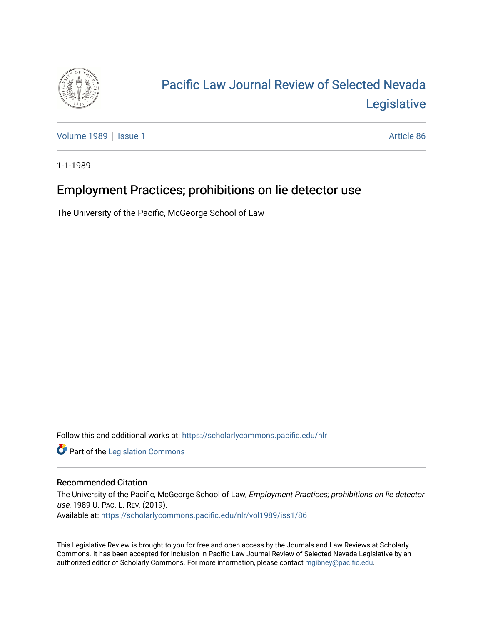

# [Pacific Law Journal Review of Selected Nevada](https://scholarlycommons.pacific.edu/nlr)  [Legislative](https://scholarlycommons.pacific.edu/nlr)

[Volume 1989](https://scholarlycommons.pacific.edu/nlr/vol1989) | [Issue 1](https://scholarlycommons.pacific.edu/nlr/vol1989/iss1) Article 86

1-1-1989

## Employment Practices; prohibitions on lie detector use

The University of the Pacific, McGeorge School of Law

Follow this and additional works at: [https://scholarlycommons.pacific.edu/nlr](https://scholarlycommons.pacific.edu/nlr?utm_source=scholarlycommons.pacific.edu%2Fnlr%2Fvol1989%2Fiss1%2F86&utm_medium=PDF&utm_campaign=PDFCoverPages) 

**Part of the [Legislation Commons](http://network.bepress.com/hgg/discipline/859?utm_source=scholarlycommons.pacific.edu%2Fnlr%2Fvol1989%2Fiss1%2F86&utm_medium=PDF&utm_campaign=PDFCoverPages)** 

#### Recommended Citation

The University of the Pacific, McGeorge School of Law, Employment Practices; prohibitions on lie detector use, 1989 U. PAC. L. REV. (2019). Available at: [https://scholarlycommons.pacific.edu/nlr/vol1989/iss1/86](https://scholarlycommons.pacific.edu/nlr/vol1989/iss1/86?utm_source=scholarlycommons.pacific.edu%2Fnlr%2Fvol1989%2Fiss1%2F86&utm_medium=PDF&utm_campaign=PDFCoverPages)

This Legislative Review is brought to you for free and open access by the Journals and Law Reviews at Scholarly Commons. It has been accepted for inclusion in Pacific Law Journal Review of Selected Nevada Legislative by an authorized editor of Scholarly Commons. For more information, please contact [mgibney@pacific.edu](mailto:mgibney@pacific.edu).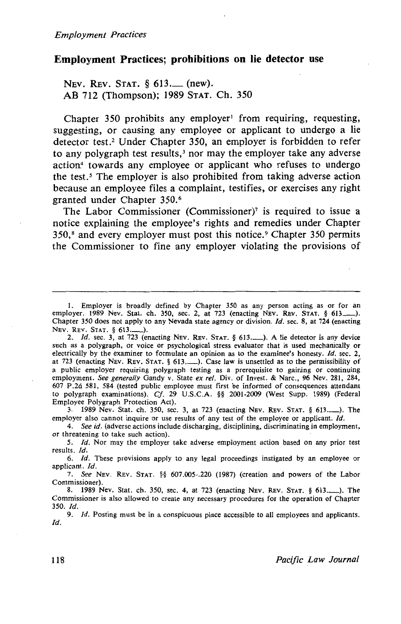### **Employment Practices; prohibitions on lie detector use**

NEV. REV. STAT. § 613. (new). AB 712 (Thompson); 1989 STAT. Ch. 350

Chapter 350 prohibits any employer<sup>1</sup> from requiring, requesting, suggesting, or causing any employee or applicant to undergo a lie detector test.<sup>2</sup> Under Chapter 350, an employer is forbidden to refer to any polygraph test results, $3$  nor may the employer take any adverse action4 towards any employee or applicant who refuses to undergo the test.<sup>5</sup> The employer is also prohibited from taking adverse action because an employee files a complaint, testifies, or exercises any right granted under Chapter 350.6

The Labor Commissioner (Commissioner)? is required to issue a notice explaining the employee's rights and remedies under Chapter 350, 8 and every employer must post this notice. 9 Chapter 350 permits the Commissioner to fine any employer violating the provisions of

2. *Id.* sec. 3, at 723 (enacting NEV. REV. STAT. § 613..........). A lie detector is any device such as a polygraph, or voice or psychological stress evaluator that is used mechanically or electrically by the examiner to formulate an opinion as to the examinee's honesty. *ld.* sec. 2, at 723 (enacting NEv. REv. STAT. § 613.\_). Case law is unsettled as to the permissibility of a public employer requiring polygraph testing as a prerequisite to gaining or continuing employment. *See generally* Gandy v. State *ex ref.* Div. of Invest. & Narc., 96 Nev. 281, 284, 607 P .2d 581, 584 (tested public employee must first be informed of consequences attendant to polygraph examinations). *Cf.* 29 U.S.C.A. §§ 2001-2009 (West Supp. 1989) (Federal Employee Polygraph Protection Act).

3. 1989 Nev. Stat. ch. 350, sec. 3, at 723 (enacting NEv. REv. STAT. § 613.-). The employer also cannot inquire or use results of any test of the employee or applicant. */d.* 

4. *See id.* (adverse actions include discharging, disciplining, discriminating in employment, or threatening to take such action).

5. *Id.* Nor may the employer take adverse employment action based on any prior test results. *Id.* 

6. *Id.* These provisions apply to any legal proceedings instigated by an employee or applicant. *Id.* 

7. *See* NEV. REv. STAT. §§ 607.005-.220 (1987) (creation and powers of the Labor Commissioner).

8. 1989 Nev. Stat. ch. 350, sec. 4, at 723 (enacting Nev. Rev. Stat. § 613..........). The Commissioner is also allowed to create any necessary procedures for the operation of Chapter 350. *Id.* 

9. *Id.* Posting must be in a conspicuous place accessible to all employees and applicants. /d.

<sup>1.</sup> Employer is broadly defined by Chapter 350 as any person acting as or for an employer. 1989 Nev. Stat. ch. 350, sec. 2, at 723 (enacting NEV. REV. STAT. § 613.............). Chapter 350 does not apply to any Nevada state agency or division. *Id.* sec. 8, at 724 (enacting NEV. REV. STAT. § 613.\_).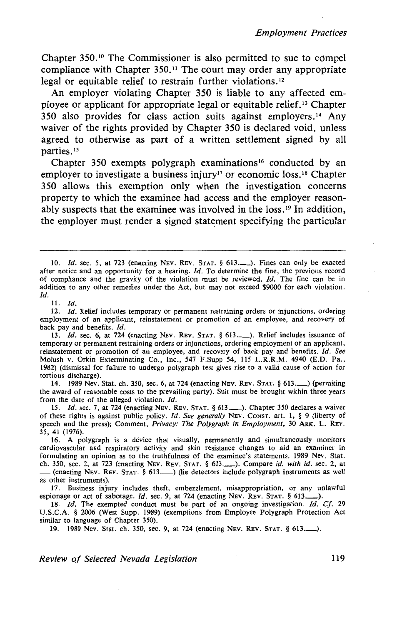*Employment Practices* 

Chapter 350. 10 The Commissioner is also permitted to sue to compel compliance with Chapter  $350<sup>11</sup>$  The court may order any appropriate legal or equitable relief to restrain further violations. 12

An employer violating Chapter 350 is liable to any affected employee or applicant for appropriate legal or equitable relief. 13 Chapter  $350$  also provides for class action suits against employers.<sup>14</sup> Any waiver of the rights provided by Chapter 350 is declared void, unless agreed to otherwise as part of a written settlement signed by all parties.<sup>15</sup>

Chapter 350 exempts polygraph examinations<sup>16</sup> conducted by an employer to investigate a business injury<sup>17</sup> or economic loss.<sup>18</sup> Chapter 350 allows this exemption only when the investigation concerns property to which the examinee had access and the employer reasonably suspects that the examinee was involved in the loss. 19 In addition, the employer must render a signed statement specifying the particular

11. *Id.* 

12. *Id.* Relief includes temporary or permanent restraining orders or injunctions, ordering employment of an applicant, reinstatement or promotion of an employee, and recovery of back pay and benefits. *ld.* 

13. *Id.* sec. 6, at 724 (enacting NEV. REV. STAT. § 613.........). Relief includes issuance of temporary or permanent restraining orders or injunctions, ordering employment of an applicant, reinstatement or promotion of an employee, and recovery of back pay and benefits. *ld. See*  Molush v. Orkin Exterminating Co., Inc., 547 F.Supp 54, 115 L.R.R.M. 4940 (E.D. Pa., 1982) (dismissal for failure to undergo polygraph test gives rise to a valid cause of action for tortious discharge).

14. 1989 Nev. Stat. ch. 350, sec. 6, at 724 (enacting NEv. REv. STAT. § 613.\_) (permiting the award of reasonable costs to the prevailing party). Suit must be brought within three years from the date of the alleged violation. *ld.* 

15. *ld.* sec. 7, at 724 (enacting NEv. REv. STAT. § 613.\_). Chapter 350 declares a waiver of these rights is against public policy. *ld. See generally* NEv. CoNST. art. I, § 9 (liberty of speech and the press); Comment, *Privacy: The Polygraph in Employment,* 30 ARK. L. REv. 35, 41 (1976).

16. A polygraph is a device that visually, permanently and simultaneously monitors cardiovascular and respiratory activity and skin resistance changes to aid an examiner in formulating an opinion as to the truthfulness of the examinee's statements. 1989 Nev. Stat. ch. 350, sec. 2, at 723 (enacting NEV. REv. STAT. § 613.\_). Compare *id. with id.* sec. 2, at \_(enacting NEv. REv. STAT. § 613.\_) (lie detectors include polygraph instruments as well as other instruments).

17. Business injury includes theft, embezzlement, misappropriation, or any unlawful espionage or act of sabotage. *Id.* sec. 9, at 724 (enacting NEV. REV. STAT. § 613..........).

18. *ld.* The exempted conduct must be part of an ongoing investigation. *Id. Cf.* 29 U.S.C.A. § 2006 (West Supp. 1989) (exemptions from Employee Polygraph Protection Act similar to language of Chapter 350).

19. 1989 Nev. Stat. ch. 350, sec. 9, at 724 (enacting NEv. REV. STAT. § 613.\_).

*Review of Selected Nevada Legislation* 119

<sup>10.</sup> *ld.* sec. *5,* at 723 (enacting NEV. REv. STAT. § 613.\_). Fines can only be exacted after notice and an opportunity for a hearing. *ld.* To determine the fine, the previous record of compliance and the gravity of the violation must be reviewed. *ld.* The fine can be in addition to any other remedies under the Act, but may not exceed \$9000 for each violation. *!d.*